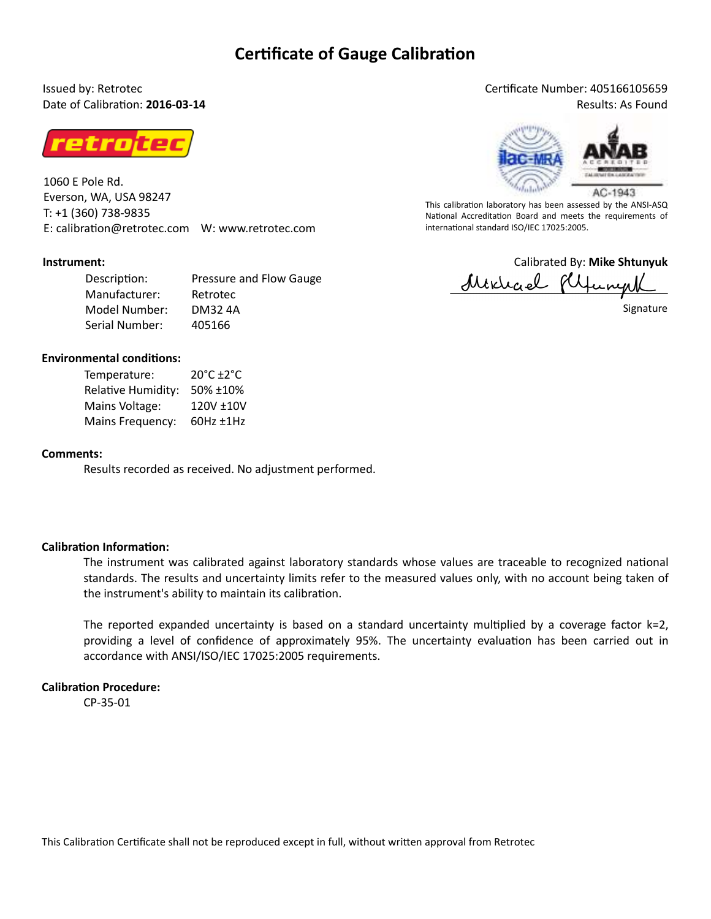## **Certificate of Gauge Calibration**

Issued by: Retrotec Date of Calibration: **2016-03-14** 



1060 E Pole Rd. Everson, WA, USA 98247 T: +1 (360) 738-9835 E: calibration@retrotec.com W: www.retrotec.com

#### **Instrument:**

Description: Manufacturer: Model Number: Serial Number: Pressure and Flow Gauge Retrotec DM32 4A 405166

#### **Environmental conditions:**

| Temperature:       | $20^{\circ}$ C +2 $^{\circ}$ C |
|--------------------|--------------------------------|
| Relative Humidity: | 50% ±10%                       |
| Mains Voltage:     | 120V ±10V                      |
| Mains Frequency:   | $60Hz \pm 1Hz$                 |

#### **Comments:**

Results recorded as received. No adjustment performed.

#### **Calibration Information:**

The instrument was calibrated against laboratory standards whose values are traceable to recognized national standards. The results and uncertainty limits refer to the measured values only, with no account being taken of the instrument's ability to maintain its calibration.

The reported expanded uncertainty is based on a standard uncertainty multiplied by a coverage factor  $k=2$ , providing a level of confidence of approximately 95%. The uncertainty evaluation has been carried out in accordance with ANSI/ISO/IEC 17025:2005 requirements.

#### **Calibration Procedure:**

CP-35-01

## Cerficate Number: 405166105659

Results: As Found



This calibration laboratory has been assessed by the ANSI-ASQ National Accreditation Board and meets the requirements of international standard ISO/IEC 17025:2005.

Calibrated By: **Mike Shtunyuk** Mixical flipung

Signature